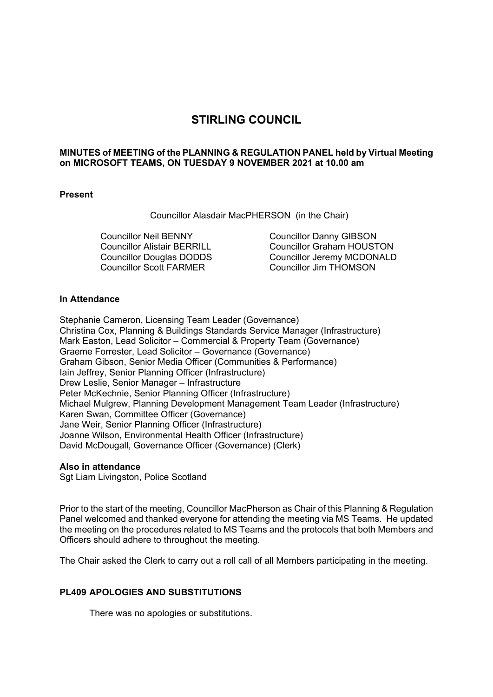# **STIRLING COUNCIL**

# **MINUTES of MEETING of the PLANNING & REGULATION PANEL held by Virtual Meeting on MICROSOFT TEAMS, ON TUESDAY 9 NOVEMBER 2021 at 10.00 am**

# **Present**

Councillor Alasdair MacPHERSON (in the Chair)

Councillor Neil BENNY Councillor Alistair BERRILL Councillor Douglas DODDS Councillor Scott FARMER

Councillor Danny GIBSON Councillor Graham HOUSTON Councillor Jeremy MCDONALD Councillor Jim THOMSON

## **In Attendance**

Stephanie Cameron, Licensing Team Leader (Governance) Christina Cox, Planning & Buildings Standards Service Manager (Infrastructure) Mark Easton, Lead Solicitor – Commercial & Property Team (Governance) Graeme Forrester, Lead Solicitor – Governance (Governance) Graham Gibson, Senior Media Officer (Communities & Performance) Iain Jeffrey, Senior Planning Officer (Infrastructure) Drew Leslie, Senior Manager – Infrastructure Peter McKechnie, Senior Planning Officer (Infrastructure) Michael Mulgrew, Planning Development Management Team Leader (Infrastructure) Karen Swan, Committee Officer (Governance) Jane Weir, Senior Planning Officer (Infrastructure) Joanne Wilson, Environmental Health Officer (Infrastructure) David McDougall, Governance Officer (Governance) (Clerk)

## **Also in attendance**

Sgt Liam Livingston, Police Scotland

Prior to the start of the meeting, Councillor MacPherson as Chair of this Planning & Regulation Panel welcomed and thanked everyone for attending the meeting via MS Teams. He updated the meeting on the procedures related to MS Teams and the protocols that both Members and Officers should adhere to throughout the meeting.

The Chair asked the Clerk to carry out a roll call of all Members participating in the meeting.

# **PL409 APOLOGIES AND SUBSTITUTIONS**

There was no apologies or substitutions.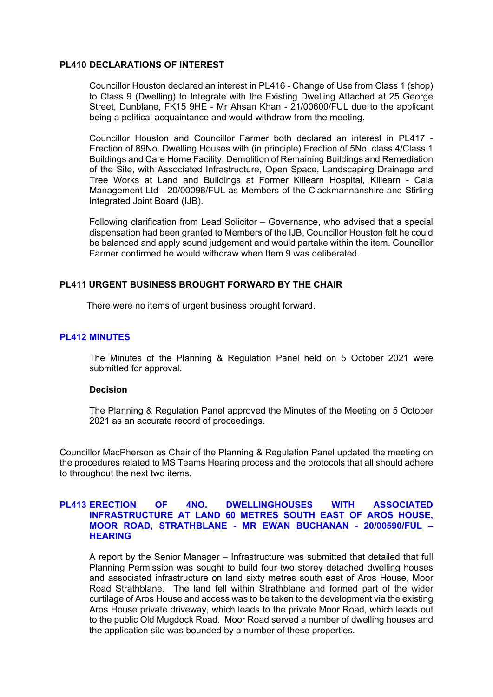#### **PL410 DECLARATIONS OF INTEREST**

Councillor Houston declared an interest in PL416 - Change of Use from Class 1 (shop) to Class 9 (Dwelling) to Integrate with the Existing Dwelling Attached at 25 George Street, Dunblane, FK15 9HE - Mr Ahsan Khan - 21/00600/FUL due to the applicant being a political acquaintance and would withdraw from the meeting.

Councillor Houston and Councillor Farmer both declared an interest in PL417 - Erection of 89No. Dwelling Houses with (in principle) Erection of 5No. class 4/Class 1 Buildings and Care Home Facility, Demolition of Remaining Buildings and Remediation of the Site, with Associated Infrastructure, Open Space, Landscaping Drainage and Tree Works at Land and Buildings at Former Killearn Hospital, Killearn - Cala Management Ltd - 20/00098/FUL as Members of the Clackmannanshire and Stirling Integrated Joint Board (IJB).

Following clarification from Lead Solicitor – Governance, who advised that a special dispensation had been granted to Members of the IJB, Councillor Houston felt he could be balanced and apply sound judgement and would partake within the item. Councillor Farmer confirmed he would withdraw when Item 9 was deliberated.

# **PL411 URGENT BUSINESS BROUGHT FORWARD BY THE CHAIR**

There were no items of urgent business brought forward.

# **PL412 MINUTES**

The Minutes of the Planning & Regulation Panel held on 5 October 2021 were submitted for approval.

## **Decision**

The Planning & Regulation Panel approved the Minutes of the Meeting on 5 October 2021 as an accurate record of proceedings.

Councillor MacPherson as Chair of the Planning & Regulation Panel updated the meeting on the procedures related to MS Teams Hearing process and the protocols that all should adhere to throughout the next two items.

# **PL413 ERECTION OF 4NO. DWELLINGHOUSES WITH ASSOCIATED INFRASTRUCTURE AT LAND 60 METRES SOUTH EAST OF AROS HOUSE, MOOR ROAD, STRATHBLANE - MR EWAN BUCHANAN - 20/00590/FUL – HEARING**

A report by the Senior Manager – Infrastructure was submitted that detailed that full Planning Permission was sought to build four two storey detached dwelling houses and associated infrastructure on land sixty metres south east of Aros House, Moor Road Strathblane. The land fell within Strathblane and formed part of the wider curtilage of Aros House and access was to be taken to the development via the existing Aros House private driveway, which leads to the private Moor Road, which leads out to the public Old Mugdock Road. Moor Road served a number of dwelling houses and the application site was bounded by a number of these properties.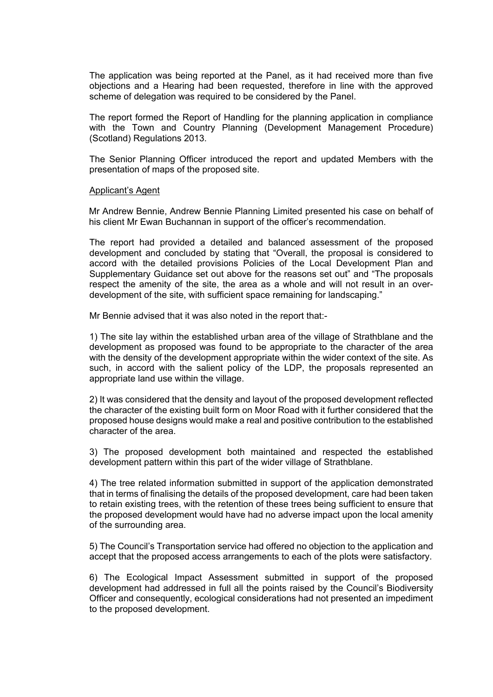The application was being reported at the Panel, as it had received more than five objections and a Hearing had been requested, therefore in line with the approved scheme of delegation was required to be considered by the Panel.

The report formed the Report of Handling for the planning application in compliance with the Town and Country Planning (Development Management Procedure) (Scotland) Regulations 2013.

The Senior Planning Officer introduced the report and updated Members with the presentation of maps of the proposed site.

#### Applicant's Agent

Mr Andrew Bennie, Andrew Bennie Planning Limited presented his case on behalf of his client Mr Ewan Buchannan in support of the officer's recommendation.

The report had provided a detailed and balanced assessment of the proposed development and concluded by stating that "Overall, the proposal is considered to accord with the detailed provisions Policies of the Local Development Plan and Supplementary Guidance set out above for the reasons set out" and "The proposals respect the amenity of the site, the area as a whole and will not result in an overdevelopment of the site, with sufficient space remaining for landscaping."

Mr Bennie advised that it was also noted in the report that:-

1) The site lay within the established urban area of the village of Strathblane and the development as proposed was found to be appropriate to the character of the area with the density of the development appropriate within the wider context of the site. As such, in accord with the salient policy of the LDP, the proposals represented an appropriate land use within the village.

2) It was considered that the density and layout of the proposed development reflected the character of the existing built form on Moor Road with it further considered that the proposed house designs would make a real and positive contribution to the established character of the area.

3) The proposed development both maintained and respected the established development pattern within this part of the wider village of Strathblane.

4) The tree related information submitted in support of the application demonstrated that in terms of finalising the details of the proposed development, care had been taken to retain existing trees, with the retention of these trees being sufficient to ensure that the proposed development would have had no adverse impact upon the local amenity of the surrounding area.

5) The Council's Transportation service had offered no objection to the application and accept that the proposed access arrangements to each of the plots were satisfactory.

6) The Ecological Impact Assessment submitted in support of the proposed development had addressed in full all the points raised by the Council's Biodiversity Officer and consequently, ecological considerations had not presented an impediment to the proposed development.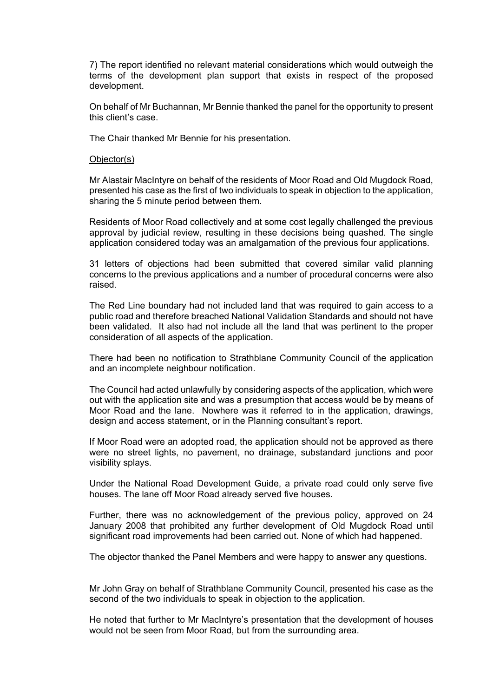7) The report identified no relevant material considerations which would outweigh the terms of the development plan support that exists in respect of the proposed development.

On behalf of Mr Buchannan, Mr Bennie thanked the panel for the opportunity to present this client's case.

The Chair thanked Mr Bennie for his presentation.

#### Objector(s)

Mr Alastair MacIntyre on behalf of the residents of Moor Road and Old Mugdock Road, presented his case as the first of two individuals to speak in objection to the application, sharing the 5 minute period between them.

Residents of Moor Road collectively and at some cost legally challenged the previous approval by judicial review, resulting in these decisions being quashed. The single application considered today was an amalgamation of the previous four applications.

31 letters of objections had been submitted that covered similar valid planning concerns to the previous applications and a number of procedural concerns were also raised.

The Red Line boundary had not included land that was required to gain access to a public road and therefore breached National Validation Standards and should not have been validated. It also had not include all the land that was pertinent to the proper consideration of all aspects of the application.

There had been no notification to Strathblane Community Council of the application and an incomplete neighbour notification.

The Council had acted unlawfully by considering aspects of the application, which were out with the application site and was a presumption that access would be by means of Moor Road and the lane. Nowhere was it referred to in the application, drawings, design and access statement, or in the Planning consultant's report.

If Moor Road were an adopted road, the application should not be approved as there were no street lights, no pavement, no drainage, substandard junctions and poor visibility splays.

Under the National Road Development Guide, a private road could only serve five houses. The lane off Moor Road already served five houses.

Further, there was no acknowledgement of the previous policy, approved on 24 January 2008 that prohibited any further development of Old Mugdock Road until significant road improvements had been carried out. None of which had happened.

The objector thanked the Panel Members and were happy to answer any questions.

Mr John Gray on behalf of Strathblane Community Council, presented his case as the second of the two individuals to speak in objection to the application.

He noted that further to Mr MacIntyre's presentation that the development of houses would not be seen from Moor Road, but from the surrounding area.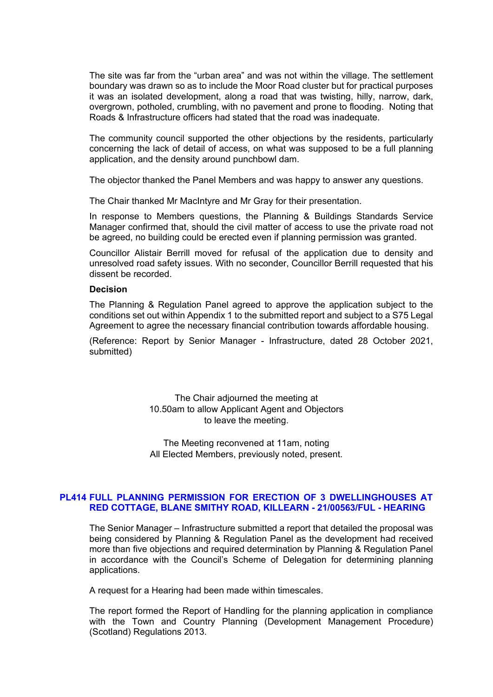The site was far from the "urban area" and was not within the village. The settlement boundary was drawn so as to include the Moor Road cluster but for practical purposes it was an isolated development, along a road that was twisting, hilly, narrow, dark, overgrown, potholed, crumbling, with no pavement and prone to flooding. Noting that Roads & Infrastructure officers had stated that the road was inadequate.

The community council supported the other objections by the residents, particularly concerning the lack of detail of access, on what was supposed to be a full planning application, and the density around punchbowl dam.

The objector thanked the Panel Members and was happy to answer any questions.

The Chair thanked Mr MacIntyre and Mr Gray for their presentation.

In response to Members questions, the Planning & Buildings Standards Service Manager confirmed that, should the civil matter of access to use the private road not be agreed, no building could be erected even if planning permission was granted.

Councillor Alistair Berrill moved for refusal of the application due to density and unresolved road safety issues. With no seconder, Councillor Berrill requested that his dissent be recorded.

## **Decision**

The Planning & Regulation Panel agreed to approve the application subject to the conditions set out within Appendix 1 to the submitted report and subject to a S75 Legal Agreement to agree the necessary financial contribution towards affordable housing.

(Reference: Report by Senior Manager - Infrastructure, dated 28 October 2021, submitted)

> The Chair adjourned the meeting at 10.50am to allow Applicant Agent and Objectors to leave the meeting.

> The Meeting reconvened at 11am, noting All Elected Members, previously noted, present.

# **PL414 FULL PLANNING PERMISSION FOR ERECTION OF 3 DWELLINGHOUSES AT RED COTTAGE, BLANE SMITHY ROAD, KILLEARN - 21/00563/FUL - HEARING**

The Senior Manager – Infrastructure submitted a report that detailed the proposal was being considered by Planning & Regulation Panel as the development had received more than five objections and required determination by Planning & Regulation Panel in accordance with the Council's Scheme of Delegation for determining planning applications.

A request for a Hearing had been made within timescales.

The report formed the Report of Handling for the planning application in compliance with the Town and Country Planning (Development Management Procedure) (Scotland) Regulations 2013.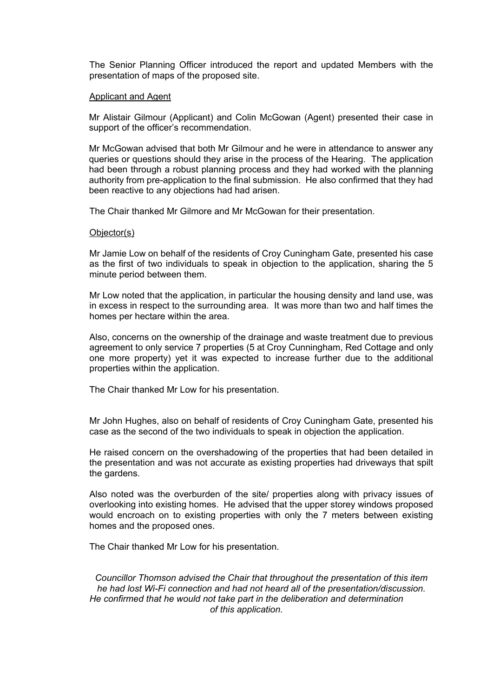The Senior Planning Officer introduced the report and updated Members with the presentation of maps of the proposed site.

#### Applicant and Agent

Mr Alistair Gilmour (Applicant) and Colin McGowan (Agent) presented their case in support of the officer's recommendation.

Mr McGowan advised that both Mr Gilmour and he were in attendance to answer any queries or questions should they arise in the process of the Hearing. The application had been through a robust planning process and they had worked with the planning authority from pre-application to the final submission. He also confirmed that they had been reactive to any objections had had arisen.

The Chair thanked Mr Gilmore and Mr McGowan for their presentation.

#### Objector(s)

Mr Jamie Low on behalf of the residents of Croy Cuningham Gate, presented his case as the first of two individuals to speak in objection to the application, sharing the 5 minute period between them.

Mr Low noted that the application, in particular the housing density and land use, was in excess in respect to the surrounding area. It was more than two and half times the homes per hectare within the area.

Also, concerns on the ownership of the drainage and waste treatment due to previous agreement to only service 7 properties (5 at Croy Cunningham, Red Cottage and only one more property) yet it was expected to increase further due to the additional properties within the application.

The Chair thanked Mr Low for his presentation.

Mr John Hughes, also on behalf of residents of Croy Cuningham Gate, presented his case as the second of the two individuals to speak in objection the application.

He raised concern on the overshadowing of the properties that had been detailed in the presentation and was not accurate as existing properties had driveways that spilt the gardens.

Also noted was the overburden of the site/ properties along with privacy issues of overlooking into existing homes. He advised that the upper storey windows proposed would encroach on to existing properties with only the 7 meters between existing homes and the proposed ones.

The Chair thanked Mr Low for his presentation.

*Councillor Thomson advised the Chair that throughout the presentation of this item he had lost Wi-Fi connection and had not heard all of the presentation/discussion. He confirmed that he would not take part in the deliberation and determination of this application.*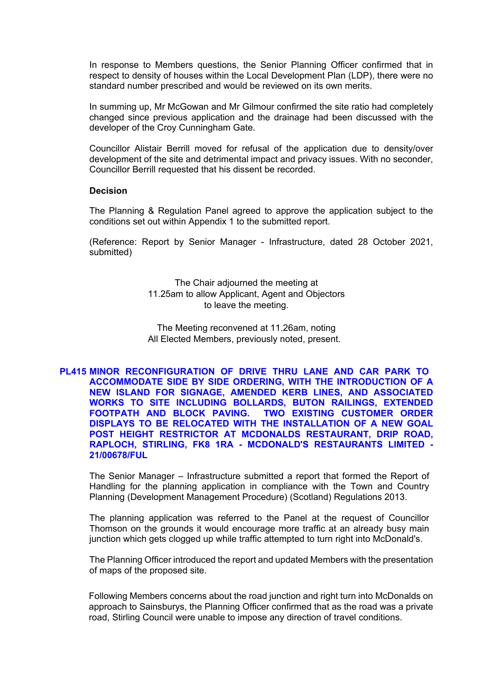In response to Members questions, the Senior Planning Officer confirmed that in respect to density of houses within the Local Development Plan (LDP), there were no standard number prescribed and would be reviewed on its own merits.

In summing up, Mr McGowan and Mr Gilmour confirmed the site ratio had completely changed since previous application and the drainage had been discussed with the developer of the Croy Cunningham Gate.

Councillor Alistair Berrill moved for refusal of the application due to density/over development of the site and detrimental impact and privacy issues. With no seconder, Councillor Berrill requested that his dissent be recorded.

#### **Decision**

The Planning & Regulation Panel agreed to approve the application subject to the conditions set out within Appendix 1 to the submitted report.

(Reference: Report by Senior Manager - Infrastructure, dated 28 October 2021, submitted)

> The Chair adjourned the meeting at 11.25am to allow Applicant, Agent and Objectors to leave the meeting.

The Meeting reconvened at 11.26am, noting All Elected Members, previously noted, present.

**PL415 MINOR RECONFIGURATION OF DRIVE THRU LANE AND CAR PARK TO ACCOMMODATE SIDE BY SIDE ORDERING, WITH THE INTRODUCTION OF A NEW ISLAND FOR SIGNAGE, AMENDED KERB LINES, AND ASSOCIATED WORKS TO SITE INCLUDING BOLLARDS, BUTON RAILINGS, EXTENDED FOOTPATH AND BLOCK PAVING. TWO EXISTING CUSTOMER ORDER DISPLAYS TO BE RELOCATED WITH THE INSTALLATION OF A NEW GOAL POST HEIGHT RESTRICTOR AT MCDONALDS RESTAURANT, DRIP ROAD, RAPLOCH, STIRLING, FK8 1RA - MCDONALD'S RESTAURANTS LIMITED - 21/00678/FUL** 

The Senior Manager – Infrastructure submitted a report that formed the Report of Handling for the planning application in compliance with the Town and Country Planning (Development Management Procedure) (Scotland) Regulations 2013.

The planning application was referred to the Panel at the request of Councillor Thomson on the grounds it would encourage more traffic at an already busy main junction which gets clogged up while traffic attempted to turn right into McDonald's.

The Planning Officer introduced the report and updated Members with the presentation of maps of the proposed site.

Following Members concerns about the road junction and right turn into McDonalds on approach to Sainsburys, the Planning Officer confirmed that as the road was a private road, Stirling Council were unable to impose any direction of travel conditions.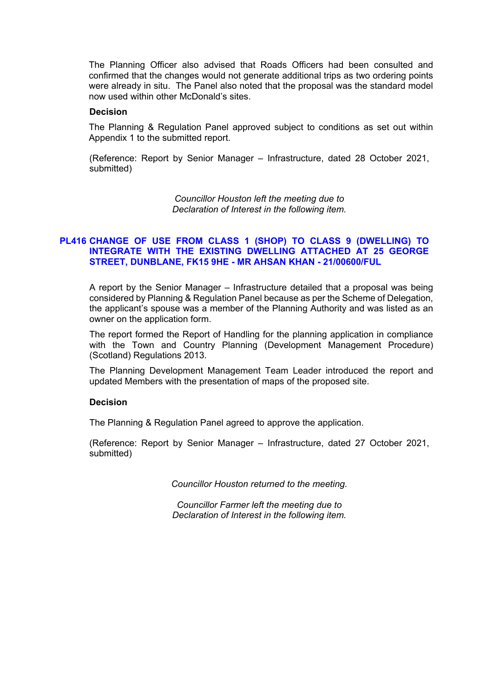The Planning Officer also advised that Roads Officers had been consulted and confirmed that the changes would not generate additional trips as two ordering points were already in situ. The Panel also noted that the proposal was the standard model now used within other McDonald's sites.

#### **Decision**

The Planning & Regulation Panel approved subject to conditions as set out within Appendix 1 to the submitted report.

(Reference: Report by Senior Manager – Infrastructure, dated 28 October 2021, submitted)

> *Councillor Houston left the meeting due to Declaration of Interest in the following item.*

# **PL416 CHANGE OF USE FROM CLASS 1 (SHOP) TO CLASS 9 (DWELLING) TO INTEGRATE WITH THE EXISTING DWELLING ATTACHED AT 25 GEORGE STREET, DUNBLANE, FK15 9HE - MR AHSAN KHAN - 21/00600/FUL**

A report by the Senior Manager – Infrastructure detailed that a proposal was being considered by Planning & Regulation Panel because as per the Scheme of Delegation, the applicant's spouse was a member of the Planning Authority and was listed as an owner on the application form.

The report formed the Report of Handling for the planning application in compliance with the Town and Country Planning (Development Management Procedure) (Scotland) Regulations 2013.

The Planning Development Management Team Leader introduced the report and updated Members with the presentation of maps of the proposed site.

#### **Decision**

The Planning & Regulation Panel agreed to approve the application.

(Reference: Report by Senior Manager – Infrastructure, dated 27 October 2021, submitted)

*Councillor Houston returned to the meeting.* 

*Councillor Farmer left the meeting due to Declaration of Interest in the following item.*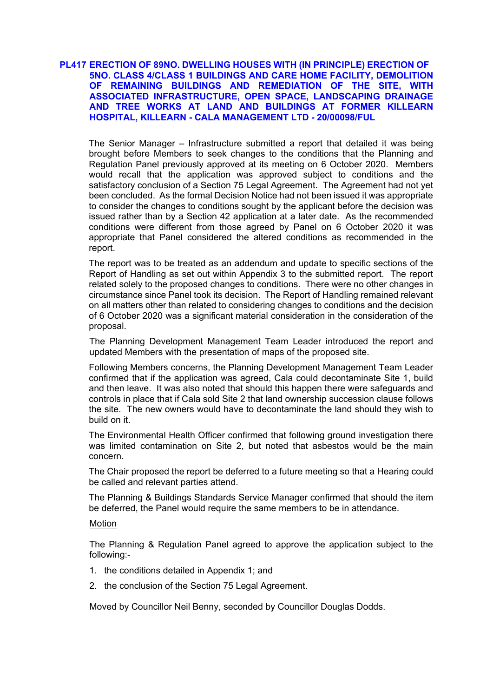# **PL417 ERECTION OF 89NO. DWELLING HOUSES WITH (IN PRINCIPLE) ERECTION OF 5NO. CLASS 4/CLASS 1 BUILDINGS AND CARE HOME FACILITY, DEMOLITION OF REMAINING BUILDINGS AND REMEDIATION OF THE SITE, WITH ASSOCIATED INFRASTRUCTURE, OPEN SPACE, LANDSCAPING DRAINAGE AND TREE WORKS AT LAND AND BUILDINGS AT FORMER KILLEARN HOSPITAL, KILLEARN - CALA MANAGEMENT LTD - 20/00098/FUL**

The Senior Manager – Infrastructure submitted a report that detailed it was being brought before Members to seek changes to the conditions that the Planning and Regulation Panel previously approved at its meeting on 6 October 2020. Members would recall that the application was approved subject to conditions and the satisfactory conclusion of a Section 75 Legal Agreement. The Agreement had not yet been concluded. As the formal Decision Notice had not been issued it was appropriate to consider the changes to conditions sought by the applicant before the decision was issued rather than by a Section 42 application at a later date. As the recommended conditions were different from those agreed by Panel on 6 October 2020 it was appropriate that Panel considered the altered conditions as recommended in the report.

The report was to be treated as an addendum and update to specific sections of the Report of Handling as set out within Appendix 3 to the submitted report. The report related solely to the proposed changes to conditions. There were no other changes in circumstance since Panel took its decision. The Report of Handling remained relevant on all matters other than related to considering changes to conditions and the decision of 6 October 2020 was a significant material consideration in the consideration of the proposal.

The Planning Development Management Team Leader introduced the report and updated Members with the presentation of maps of the proposed site.

Following Members concerns, the Planning Development Management Team Leader confirmed that if the application was agreed, Cala could decontaminate Site 1, build and then leave. It was also noted that should this happen there were safeguards and controls in place that if Cala sold Site 2 that land ownership succession clause follows the site. The new owners would have to decontaminate the land should they wish to build on it.

The Environmental Health Officer confirmed that following ground investigation there was limited contamination on Site 2, but noted that asbestos would be the main concern.

The Chair proposed the report be deferred to a future meeting so that a Hearing could be called and relevant parties attend.

The Planning & Buildings Standards Service Manager confirmed that should the item be deferred, the Panel would require the same members to be in attendance.

# Motion

The Planning & Regulation Panel agreed to approve the application subject to the following:-

- 1. the conditions detailed in Appendix 1; and
- 2. the conclusion of the Section 75 Legal Agreement.

Moved by Councillor Neil Benny, seconded by Councillor Douglas Dodds.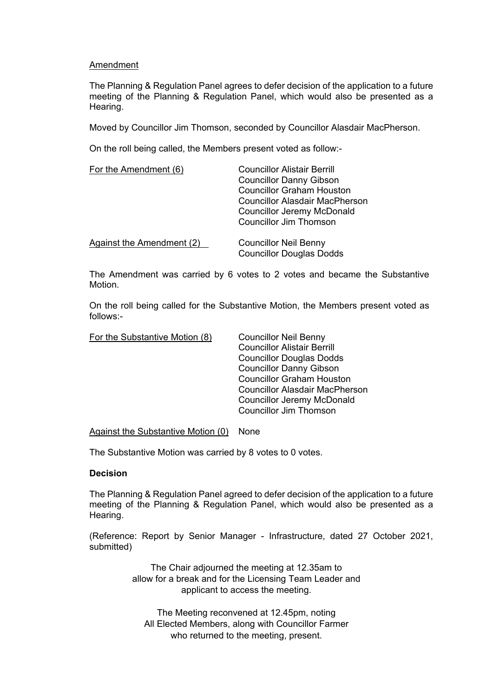## Amendment

The Planning & Regulation Panel agrees to defer decision of the application to a future meeting of the Planning & Regulation Panel, which would also be presented as a Hearing.

Moved by Councillor Jim Thomson, seconded by Councillor Alasdair MacPherson.

On the roll being called, the Members present voted as follow:-

| For the Amendment (6)     | <b>Councillor Alistair Berrill</b><br><b>Councillor Danny Gibson</b><br><b>Councillor Graham Houston</b>    |
|---------------------------|-------------------------------------------------------------------------------------------------------------|
|                           | <b>Councillor Alasdair MacPherson</b><br><b>Councillor Jeremy McDonald</b><br><b>Councillor Jim Thomson</b> |
| Against the Amendment (2) | <b>Councillor Neil Benny</b><br><b>Councillor Douglas Dodds</b>                                             |

The Amendment was carried by 6 votes to 2 votes and became the Substantive Motion.

On the roll being called for the Substantive Motion, the Members present voted as follows:-

| <b>Councillor Neil Benny</b>          |
|---------------------------------------|
| <b>Councillor Alistair Berrill</b>    |
| <b>Councillor Douglas Dodds</b>       |
| <b>Councillor Danny Gibson</b>        |
| <b>Councillor Graham Houston</b>      |
| <b>Councillor Alasdair MacPherson</b> |
| <b>Councillor Jeremy McDonald</b>     |
| <b>Councillor Jim Thomson</b>         |
|                                       |

## Against the Substantive Motion (0) None

The Substantive Motion was carried by 8 votes to 0 votes.

## **Decision**

The Planning & Regulation Panel agreed to defer decision of the application to a future meeting of the Planning & Regulation Panel, which would also be presented as a Hearing.

(Reference: Report by Senior Manager - Infrastructure, dated 27 October 2021, submitted)

> The Chair adjourned the meeting at 12.35am to allow for a break and for the Licensing Team Leader and applicant to access the meeting.

The Meeting reconvened at 12.45pm, noting All Elected Members, along with Councillor Farmer who returned to the meeting, present.